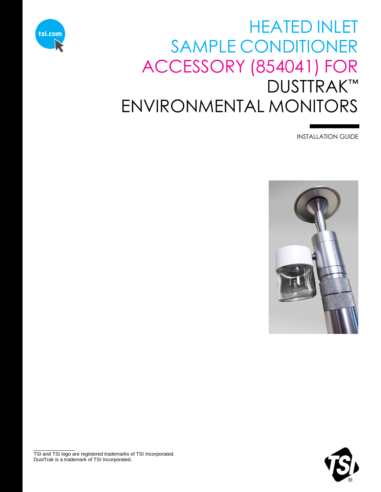

# HEATED INLET SAMPLE CONDITIONER ACCESSORY (854041) FOR DUSTTRAK™ ENVIRONMENTAL MONITORS

INSTALLATION GUIDE





TSI and TSI logo are registered trademarks of TSI Incorporated. DustTrak is a trademark of TSI Incorporated.

 $\overline{\phantom{a}}$  , where  $\overline{\phantom{a}}$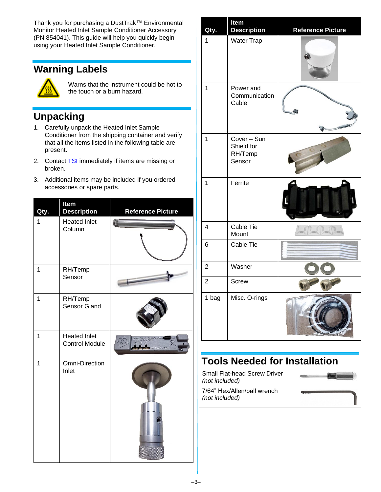Thank you for purchasing a DustTrak™ Environmental Monitor Heated Inlet Sample Conditioner Accessory (PN 854041). This guide will help you quickly begin using your Heated Inlet Sample Conditioner.

# **Warning Labels**



Warns that the instrument could be hot to the touch or a burn hazard.

### **Unpacking**

- 1. Carefully unpack the Heated Inlet Sample Conditioner from the shipping container and verify that all the items listed in the following table are present.
- 2. Contact **TSI** immediately if items are missing or broken.
- 3. Additional items may be included if you ordered accessories or spare parts.

| Qty.           | Item<br><b>Description</b>                   | <b>Reference Picture</b> |
|----------------|----------------------------------------------|--------------------------|
| 1              | <b>Heated Inlet</b><br>Column                |                          |
| 1              | RH/Temp<br>Sensor                            |                          |
| 1              | RH/Temp<br>Sensor Gland                      |                          |
| 1              | <b>Heated Inlet</b><br><b>Control Module</b> | $= 22V + 8W$             |
| $\overline{1}$ | <b>Omni-Direction</b><br>Inlet               |                          |

| Qty.           | Item<br><b>Description</b>                     | <b>Reference Picture</b> |
|----------------|------------------------------------------------|--------------------------|
| 1              | <b>Water Trap</b>                              |                          |
| 1              | Power and<br>Communication<br>Cable            |                          |
| 1              | Cover - Sun<br>Shield for<br>RH/Temp<br>Sensor |                          |
| 1              | Ferrite                                        |                          |
| $\overline{4}$ | Cable Tie<br>Mount                             |                          |
| 6              | Cable Tie                                      |                          |
| $\overline{2}$ | Washer                                         |                          |
| $\overline{2}$ | <b>Screw</b>                                   |                          |
| 1 bag          | Misc. O-rings                                  |                          |

## **Tools Needed for Installation**

| <b>Small Flat-head Screw Driver</b><br>(not included) |  |
|-------------------------------------------------------|--|
| 7/64" Hex/Allen/ball wrench<br>(not included)         |  |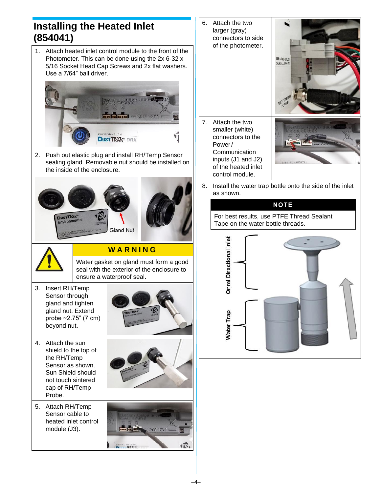### **Installing the Heated Inlet (854041)**

1. Attach heated inlet control module to the front of the Photometer. This can be done using the 2x 6-32 x 5/16 Socket Head Cap Screws and 2x flat washers. Use a 7/64" ball driver.



2. Push out elastic plug and install RH/Temp Sensor sealing gland. Removable nut should be installed on the inside of the enclosure.





#### **W A R N I N G**

Water gasket on gland must form a good seal with the exterior of the enclosure to ensure a waterproof seal.

- 3. Insert RH/Temp Sensor through gland and tighten gland nut. Extend probe ~2.75" (7 cm) beyond nut.
- 4. Attach the sun shield to the top of the RH/Temp Sensor as shown. Sun Shield should not touch sintered cap of RH/Temp Probe.
- 5. Attach RH/Temp Sensor cable to heated inlet control module (J3).







6. Attach the two larger (gray) connectors to side of the photometer. HEATED INLET **SERIAL COMM** 7. Attach the two smaller (white) connectors to the Power/ Communication inputs (J1 and J2) of the heated inlet control module. 8. Install the water trap bottle onto the side of the inlet as shown.

#### **NOTE**

For best results, use PTFE Thread Sealant Tape on the water bottle threads.

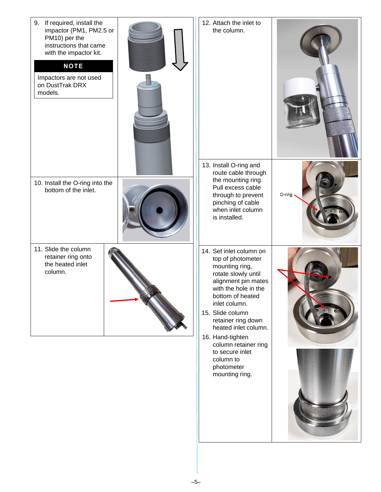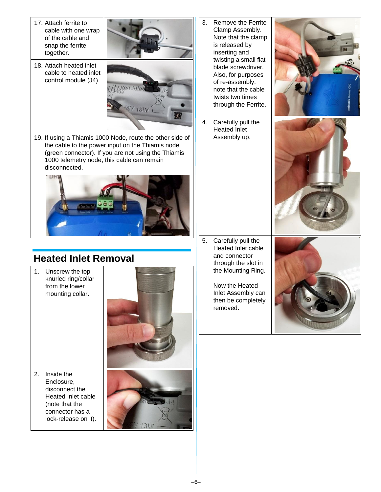17. Attach ferrite to cable with one wrap of the cable and snap the ferrite together.



18. Attach heated inlet cable to heated inlet control module (J4).



19. If using a Thiamis 1000 Node, route the other side of the cable to the power input on the Thiamis node (green connector). If you are not using the Thiamis 1000 telemetry node, this cable can remain disconnected.



# **Heated Inlet Removal**

1. Unscrew the top knurled ring/collar from the lower mounting collar.



2. Inside the Enclosure, disconnect the Heated Inlet cable (note that the connector has a lock-release on it).



- 3. Remove the Ferrite Clamp Assembly. Note that the clamp is released by inserting and twisting a small flat blade screwdriver. Also, for purposes of re-assembly, note that the cable twists two times through the Ferrite.
- 4. Carefully pull the Heated Inlet Assembly up.





5. Carefully pull the Heated Inlet cable and connector through the slot in the Mounting Ring.

> Now the Heated Inlet Assembly can then be completely removed.

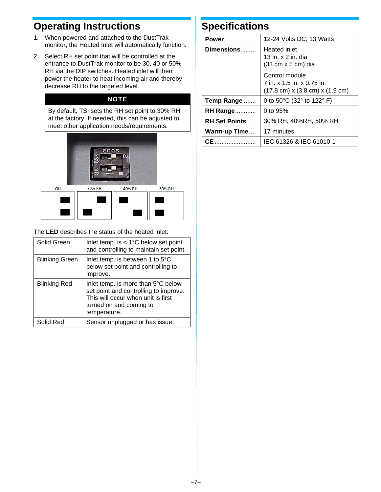### **Operating Instructions**

- 1. When powered and attached to the DustTrak monitor, the Heated Inlet will automatically function.
- 2. Select RH set point that will be controlled at the entrance to DustTrak monitor to be 30, 40 or 50% RH via the DIP switches. Heated inlet will then power the heater to heat incoming air and thereby decrease RH to the targeted level.

#### **NOTE**

By default, TSI sets the RH set point to 30% RH at the factory. If needed, this can be adjusted to meet other application needs/requirements.



The **LED** describes the status of the heated inlet:

| Solid Green           | Inlet temp. is $< 1^{\circ}$ C below set point<br>and controlling to maintain set point.                                                                     |
|-----------------------|--------------------------------------------------------------------------------------------------------------------------------------------------------------|
| <b>Blinking Green</b> | Inlet temp. is between 1 to 5°C<br>below set point and controlling to<br>improve.                                                                            |
| <b>Blinking Red</b>   | Inlet temp. is more than 5°C below<br>set point and controlling to improve.<br>This will occur when unit is first<br>turned on and coming to<br>temperature. |
| Solid Red             | Sensor unplugged or has issue.                                                                                                                               |

### **Specifications**

| Power                 | 12-24 Volts DC; 13 Watts                                                                                            |
|-----------------------|---------------------------------------------------------------------------------------------------------------------|
| Dimensions            | <b>Heated inlet</b><br>13 in. $\times$ 2 in. dia<br>$(33 \text{ cm} \times 5 \text{ cm})$ dia                       |
|                       | Control module<br>7 in. x 1.5 in. x 0.75 in.<br>$(17.8 \text{ cm}) \times (3.8 \text{ cm}) \times (1.9 \text{ cm})$ |
| Temp Range            | 0 to 50 $^{\circ}$ C (32 $^{\circ}$ to 122 $^{\circ}$ F)                                                            |
| <b>RH Range</b>       | 0 to $95%$                                                                                                          |
| <b>RH Set Points </b> | 30% RH, 40%RH, 50% RH                                                                                               |
| Warm-up Time          | 17 minutes                                                                                                          |
| СE                    | IEC 61326 & IEC 61010-1                                                                                             |